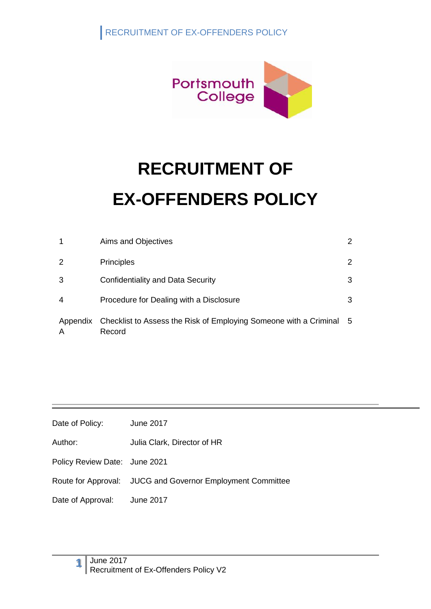

|               | Aims and Objectives                                                         | 2   |
|---------------|-----------------------------------------------------------------------------|-----|
| 2             | <b>Principles</b>                                                           | 2   |
| 3             | Confidentiality and Data Security                                           | 3   |
| 4             | Procedure for Dealing with a Disclosure                                     | 3   |
| Appendix<br>А | Checklist to Assess the Risk of Employing Someone with a Criminal<br>Record | - 5 |

| Date of Policy: | June 2017 |
|-----------------|-----------|
|-----------------|-----------|

Author: Julia Clark, Director of HR

Policy Review Date: June 2021

Route for Approval: JUCG and Governor Employment Committee

Date of Approval: June 2017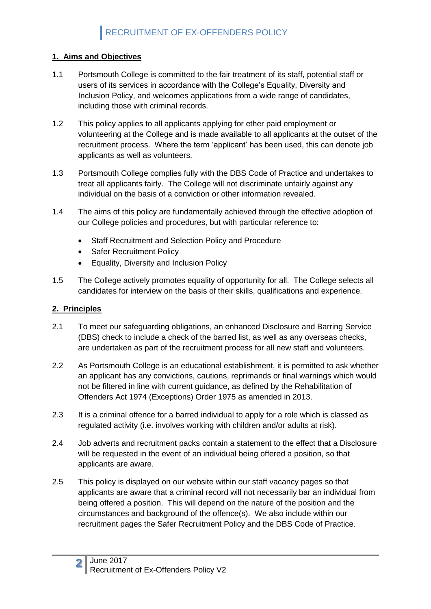#### **1. Aims and Objectives**

- 1.1 Portsmouth College is committed to the fair treatment of its staff, potential staff or users of its services in accordance with the College's Equality, Diversity and Inclusion Policy, and welcomes applications from a wide range of candidates, including those with criminal records.
- 1.2 This policy applies to all applicants applying for ether paid employment or volunteering at the College and is made available to all applicants at the outset of the recruitment process. Where the term 'applicant' has been used, this can denote job applicants as well as volunteers.
- 1.3 Portsmouth College complies fully with the DBS Code of Practice and undertakes to treat all applicants fairly. The College will not discriminate unfairly against any individual on the basis of a conviction or other information revealed.
- 1.4 The aims of this policy are fundamentally achieved through the effective adoption of our College policies and procedures, but with particular reference to:
	- Staff Recruitment and Selection Policy and Procedure
	- Safer Recruitment Policy
	- Equality, Diversity and Inclusion Policy
- 1.5 The College actively promotes equality of opportunity for all. The College selects all candidates for interview on the basis of their skills, qualifications and experience.

#### **2. Principles**

- 2.1 To meet our safeguarding obligations, an enhanced Disclosure and Barring Service (DBS) check to include a check of the barred list, as well as any overseas checks, are undertaken as part of the recruitment process for all new staff and volunteers.
- 2.2 As Portsmouth College is an educational establishment, it is permitted to ask whether an applicant has any convictions, cautions, reprimands or final warnings which would not be filtered in line with current guidance, as defined by the Rehabilitation of Offenders Act 1974 (Exceptions) Order 1975 as amended in 2013.
- 2.3 It is a criminal offence for a barred individual to apply for a role which is classed as regulated activity (i.e. involves working with children and/or adults at risk).
- 2.4 Job adverts and recruitment packs contain a statement to the effect that a Disclosure will be requested in the event of an individual being offered a position, so that applicants are aware.
- 2.5 This policy is displayed on our website within our staff vacancy pages so that applicants are aware that a criminal record will not necessarily bar an individual from being offered a position. This will depend on the nature of the position and the circumstances and background of the offence(s). We also include within our recruitment pages the Safer Recruitment Policy and the DBS Code of Practice.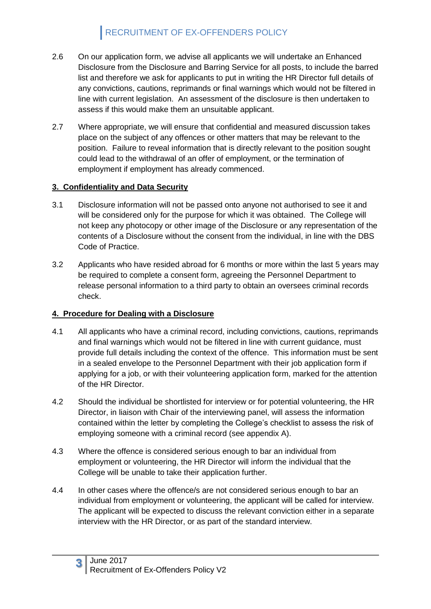- 2.6 On our application form, we advise all applicants we will undertake an Enhanced Disclosure from the Disclosure and Barring Service for all posts, to include the barred list and therefore we ask for applicants to put in writing the HR Director full details of any convictions, cautions, reprimands or final warnings which would not be filtered in line with current legislation. An assessment of the disclosure is then undertaken to assess if this would make them an unsuitable applicant.
- 2.7 Where appropriate, we will ensure that confidential and measured discussion takes place on the subject of any offences or other matters that may be relevant to the position. Failure to reveal information that is directly relevant to the position sought could lead to the withdrawal of an offer of employment, or the termination of employment if employment has already commenced.

#### **3. Confidentiality and Data Security**

- 3.1 Disclosure information will not be passed onto anyone not authorised to see it and will be considered only for the purpose for which it was obtained. The College will not keep any photocopy or other image of the Disclosure or any representation of the contents of a Disclosure without the consent from the individual, in line with the DBS Code of Practice.
- 3.2 Applicants who have resided abroad for 6 months or more within the last 5 years may be required to complete a consent form, agreeing the Personnel Department to release personal information to a third party to obtain an oversees criminal records check.

#### **4. Procedure for Dealing with a Disclosure**

- 4.1 All applicants who have a criminal record, including convictions, cautions, reprimands and final warnings which would not be filtered in line with current guidance, must provide full details including the context of the offence. This information must be sent in a sealed envelope to the Personnel Department with their job application form if applying for a job, or with their volunteering application form, marked for the attention of the HR Director.
- 4.2 Should the individual be shortlisted for interview or for potential volunteering, the HR Director, in liaison with Chair of the interviewing panel, will assess the information contained within the letter by completing the College's checklist to assess the risk of employing someone with a criminal record (see appendix A).
- 4.3 Where the offence is considered serious enough to bar an individual from employment or volunteering, the HR Director will inform the individual that the College will be unable to take their application further.
- 4.4 In other cases where the offence/s are not considered serious enough to bar an individual from employment or volunteering, the applicant will be called for interview. The applicant will be expected to discuss the relevant conviction either in a separate interview with the HR Director, or as part of the standard interview.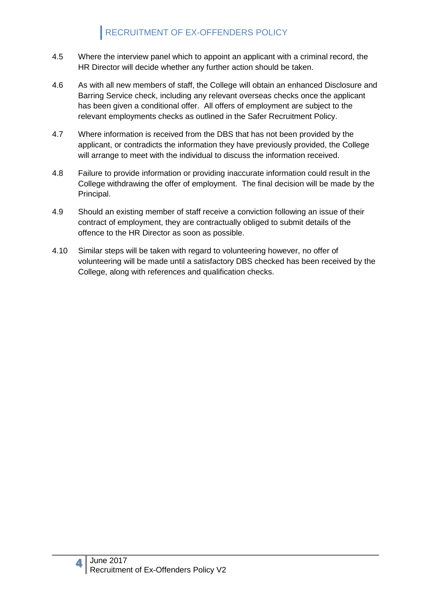- 4.5 Where the interview panel which to appoint an applicant with a criminal record, the HR Director will decide whether any further action should be taken.
- 4.6 As with all new members of staff, the College will obtain an enhanced Disclosure and Barring Service check, including any relevant overseas checks once the applicant has been given a conditional offer. All offers of employment are subject to the relevant employments checks as outlined in the Safer Recruitment Policy.
- 4.7 Where information is received from the DBS that has not been provided by the applicant, or contradicts the information they have previously provided, the College will arrange to meet with the individual to discuss the information received.
- 4.8 Failure to provide information or providing inaccurate information could result in the College withdrawing the offer of employment. The final decision will be made by the Principal.
- 4.9 Should an existing member of staff receive a conviction following an issue of their contract of employment, they are contractually obliged to submit details of the offence to the HR Director as soon as possible.
- 4.10 Similar steps will be taken with regard to volunteering however, no offer of volunteering will be made until a satisfactory DBS checked has been received by the College, along with references and qualification checks.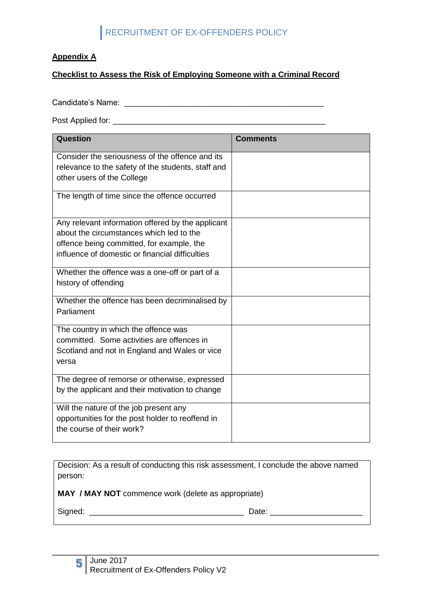#### **Appendix A**

#### **Checklist to Assess the Risk of Employing Someone with a Criminal Record**

Candidate's Name: \_\_\_\_\_\_\_\_\_\_\_\_\_\_\_\_\_\_\_\_\_\_\_\_\_\_\_\_\_\_\_\_\_\_\_\_\_\_\_\_\_\_\_\_\_

Post Applied for: \_\_\_\_\_\_\_\_\_\_\_\_\_\_\_\_\_\_\_\_\_\_\_\_\_\_\_\_\_\_\_\_\_\_\_\_\_\_\_\_\_\_\_\_\_\_\_\_

| Question                                           | <b>Comments</b> |
|----------------------------------------------------|-----------------|
| Consider the seriousness of the offence and its    |                 |
| relevance to the safety of the students, staff and |                 |
| other users of the College                         |                 |
| The length of time since the offence occurred      |                 |
| Any relevant information offered by the applicant  |                 |
| about the circumstances which led to the           |                 |
| offence being committed, for example, the          |                 |
| influence of domestic or financial difficulties    |                 |
| Whether the offence was a one-off or part of a     |                 |
| history of offending                               |                 |
| Whether the offence has been decriminalised by     |                 |
| Parliament                                         |                 |
| The country in which the offence was               |                 |
| committed. Some activities are offences in         |                 |
| Scotland and not in England and Wales or vice      |                 |
| versa                                              |                 |
| The degree of remorse or otherwise, expressed      |                 |
| by the applicant and their motivation to change    |                 |
| Will the nature of the job present any             |                 |
| opportunities for the post holder to reoffend in   |                 |
| the course of their work?                          |                 |
|                                                    |                 |

Decision: As a result of conducting this risk assessment, I conclude the above named person:

**MAY / MAY NOT** commence work (delete as appropriate)

Signed: \_\_\_\_\_\_\_\_\_\_\_\_\_\_\_\_\_\_\_\_\_\_\_\_\_\_\_\_\_\_\_\_\_\_\_ Date: \_\_\_\_\_\_\_\_\_\_\_\_\_\_\_\_\_\_\_\_\_